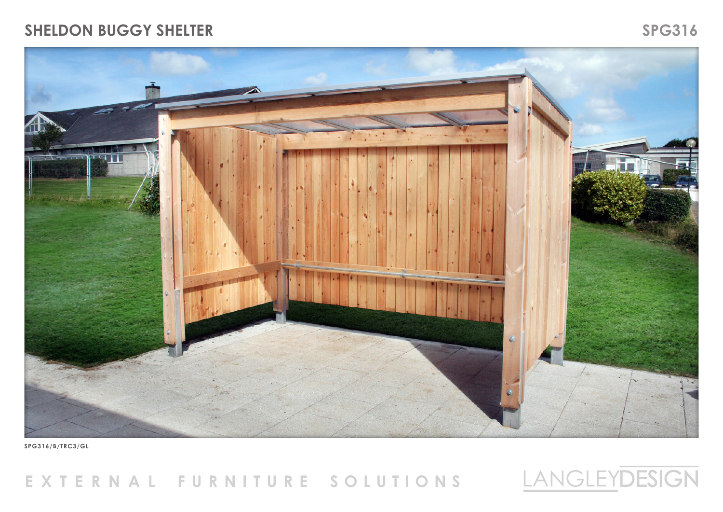#### **SHELDON BUGGY SHELTER** SPG316





**SPG316/B/TRC3/GL**

# EXTERNAL FURNITURE SOLUTIONS